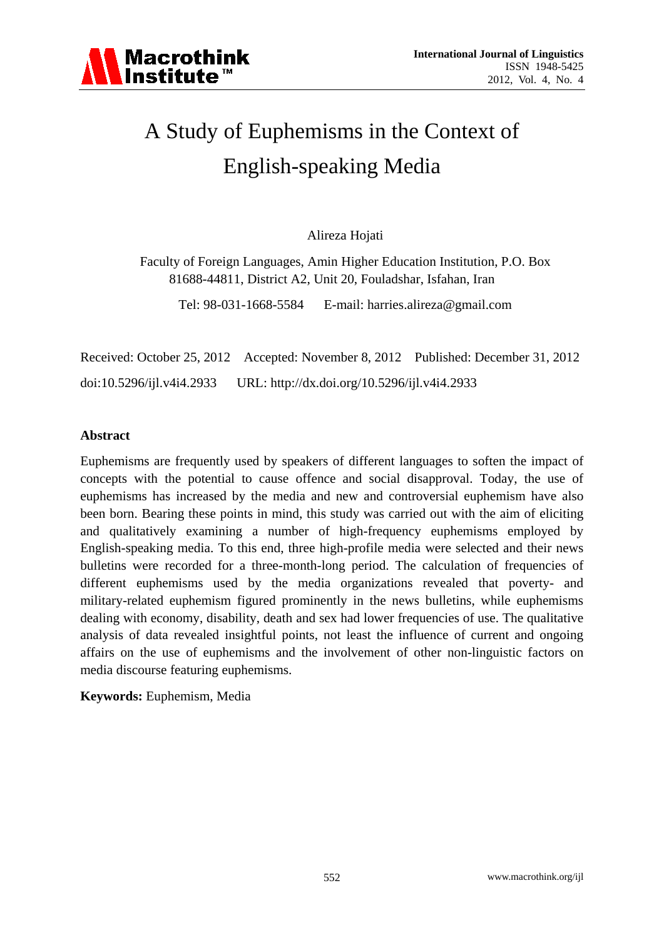

# A Study of Euphemisms in the Context of English-speaking Media

Alireza Hojati

Faculty of Foreign Languages, Amin Higher Education Institution, P.O. Box 81688-44811, District A2, Unit 20, Fouladshar, Isfahan, Iran

Tel: 98-031-1668-5584 E-mail: harries.alireza@gmail.com

Received: October 25, 2012 Accepted: November 8, 2012 Published: December 31, 2012 doi:10.5296/ijl.v4i4.2933 URL: http://dx.doi.org/10.5296/ijl.v4i4.2933

## **Abstract**

Euphemisms are frequently used by speakers of different languages to soften the impact of concepts with the potential to cause offence and social disapproval. Today, the use of euphemisms has increased by the media and new and controversial euphemism have also been born. Bearing these points in mind, this study was carried out with the aim of eliciting and qualitatively examining a number of high-frequency euphemisms employed by English-speaking media. To this end, three high-profile media were selected and their news bulletins were recorded for a three-month-long period. The calculation of frequencies of different euphemisms used by the media organizations revealed that poverty- and military-related euphemism figured prominently in the news bulletins, while euphemisms dealing with economy, disability, death and sex had lower frequencies of use. The qualitative analysis of data revealed insightful points, not least the influence of current and ongoing affairs on the use of euphemisms and the involvement of other non-linguistic factors on media discourse featuring euphemisms.

**Keywords:** Euphemism, Media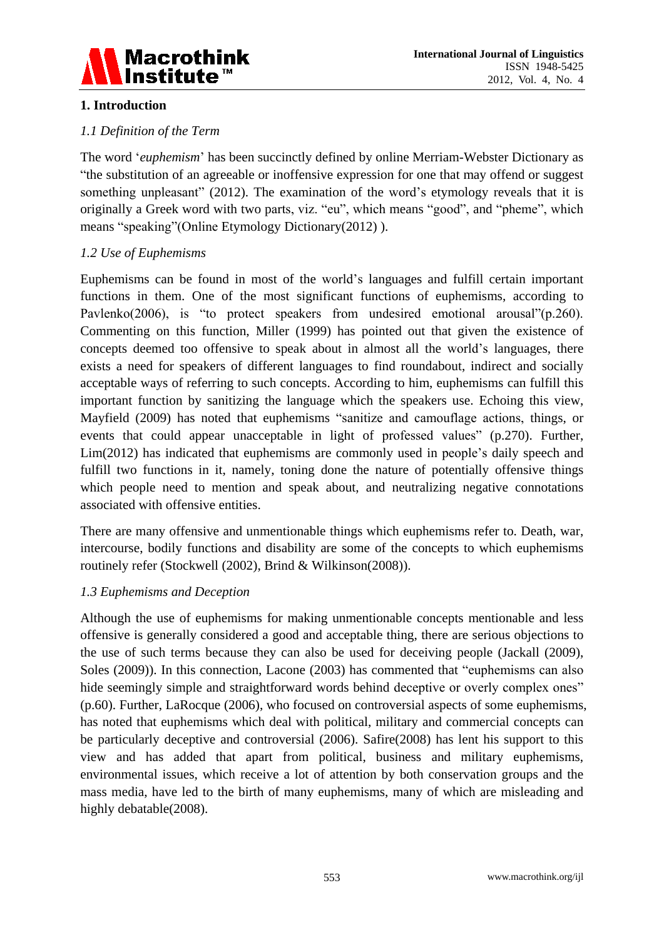

# **1. Introduction**

# *1.1 Definition of the Term*

The word "*euphemism*" has been succinctly defined by online Merriam-Webster Dictionary as "the substitution of an [agreeable](http://www.merriam-webster.com/dictionary/agreeable) or [inoffensive](http://www.merriam-webster.com/dictionary/inoffensive) expression for one that may offend or suggest something unpleasant" (2012). The examination of the word's etymology reveals that it is originally a Greek word with two parts, viz. "eu", which means "good", and "pheme", which means "speaking"(Online Etymology Dictionary(2012) ).

# *1.2 Use of Euphemisms*

Euphemisms can be found in most of the world"s languages and fulfill certain important functions in them. One of the most significant functions of euphemisms, according to Pavlenko(2006), is "to protect speakers from undesired emotional arousal"(p.260). Commenting on this function, Miller (1999) has pointed out that given the existence of concepts deemed too offensive to speak about in almost all the world"s languages, there exists a need for speakers of different languages to find roundabout, indirect and socially acceptable ways of referring to such concepts. According to him, euphemisms can fulfill this important function by sanitizing the language which the speakers use. Echoing this view, Mayfield (2009) has noted that euphemisms "sanitize and camouflage actions, things, or events that could appear unacceptable in light of professed values" (p.270). Further, Lim(2012) has indicated that euphemisms are commonly used in people"s daily speech and fulfill two functions in it, namely, toning done the nature of potentially offensive things which people need to mention and speak about, and neutralizing negative connotations associated with offensive entities.

There are many offensive and unmentionable things which euphemisms refer to. Death, war, intercourse, bodily functions and disability are some of the concepts to which euphemisms routinely refer (Stockwell (2002), Brind & Wilkinson(2008)).

# *1.3 Euphemisms and Deception*

Although the use of euphemisms for making unmentionable concepts mentionable and less offensive is generally considered a good and acceptable thing, there are serious objections to the use of such terms because they can also be used for deceiving people (Jackall (2009), Soles (2009)). In this connection, Lacone (2003) has commented that "euphemisms can also hide seemingly simple and straightforward words behind deceptive or overly complex ones" (p.60). Further, [LaRocque](http://www.google.com/search?hl=en&gbv=2&prmdo=1&tbm=bks&tbm=bks&q=inauthor:%22Paula+LaRocque%22&sa=X&ei=Cx2BUNPwHKaW0QWHwYDYBA&ved=0CB8Q9Ag) (2006), who focused on controversial aspects of some euphemisms, has noted that euphemisms which deal with political, military and commercial concepts can be particularly deceptive and controversial (2006). Safire(2008) has lent his support to this view and has added that apart from political, business and military euphemisms, environmental issues, which receive a lot of attention by both conservation groups and the mass media, have led to the birth of many euphemisms, many of which are misleading and highly debatable(2008).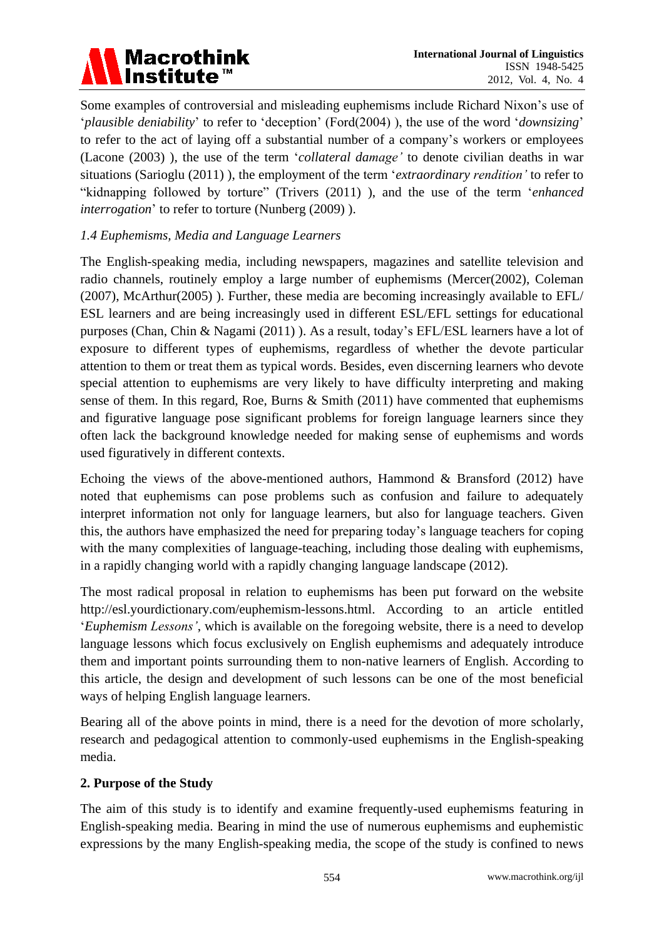

Some examples of controversial and misleading euphemisms include Richard Nixon"s use of "*plausible deniability*" to refer to "deception" (Ford(2004) ), the use of the word "*downsizing*" to refer to the act of laying off a substantial number of a company"s workers or employees (Lacone (2003) ), the use of the term "*collateral damage'* to denote civilian deaths in war situations (Sarioglu (2011) ), the employment of the term "*extraordinary rendition'* to refer to "kidnapping followed by torture" (Trivers (2011) ), and the use of the term "*enhanced interrogation*' to refer to torture (Nunberg (2009)).

# *1.4 Euphemisms, Media and Language Learners*

The English-speaking media, including newspapers, magazines and satellite television and radio channels, routinely employ a large number of euphemisms (Mercer(2002), Coleman (2007), McArthur(2005) ). Further, these media are becoming increasingly available to EFL/ ESL learners and are being increasingly used in different ESL/EFL settings for educational purposes (Chan, Chin & Nagami (2011) ). As a result, today"s EFL/ESL learners have a lot of exposure to different types of euphemisms, regardless of whether the devote particular attention to them or treat them as typical words. Besides, even discerning learners who devote special attention to euphemisms are very likely to have difficulty interpreting and making sense of them. In this regard, Roe, Burns & Smith (2011) have commented that euphemisms and figurative language pose significant problems for foreign language learners since they often lack the background knowledge needed for making sense of euphemisms and words used figuratively in different contexts.

Echoing the views of the above-mentioned authors, Hammond & Bransford (2012) have noted that euphemisms can pose problems such as confusion and failure to adequately interpret information not only for language learners, but also for language teachers. Given this, the authors have emphasized the need for preparing today"s language teachers for coping with the many complexities of language-teaching, including those dealing with euphemisms, in a rapidly changing world with a rapidly changing language landscape (2012).

The most radical proposal in relation to euphemisms has been put forward on the website [http://esl.yourdictionary.com/euphemism-lessons.html.](http://esl.yourdictionary.com/euphemism-lessons.html) According to an article entitled "*Euphemism Lessons'*, which is available on the foregoing website, there is a need to develop language lessons which focus exclusively on English euphemisms and adequately introduce them and important points surrounding them to non-native learners of English. According to this article, the design and development of such lessons can be one of the most beneficial ways of helping English language learners.

Bearing all of the above points in mind, there is a need for the devotion of more scholarly, research and pedagogical attention to commonly-used euphemisms in the English-speaking media.

# **2. Purpose of the Study**

The aim of this study is to identify and examine frequently-used euphemisms featuring in English-speaking media. Bearing in mind the use of numerous euphemisms and euphemistic expressions by the many English-speaking media, the scope of the study is confined to news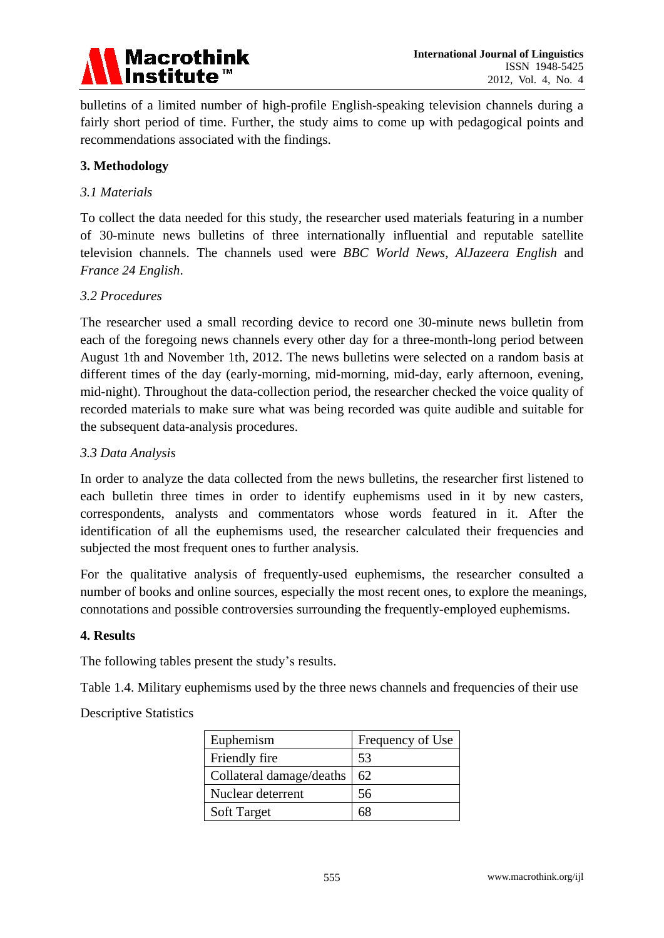

bulletins of a limited number of high-profile English-speaking television channels during a fairly short period of time. Further, the study aims to come up with pedagogical points and recommendations associated with the findings.

# **3. Methodology**

## *3.1 Materials*

To collect the data needed for this study, the researcher used materials featuring in a number of 30-minute news bulletins of three internationally influential and reputable satellite television channels. The channels used were *BBC World News*, *AlJazeera English* and *France 24 English*.

## *3.2 Procedures*

The researcher used a small recording device to record one 30-minute news bulletin from each of the foregoing news channels every other day for a three-month-long period between August 1th and November 1th, 2012. The news bulletins were selected on a random basis at different times of the day (early-morning, mid-morning, mid-day, early afternoon, evening, mid-night). Throughout the data-collection period, the researcher checked the voice quality of recorded materials to make sure what was being recorded was quite audible and suitable for the subsequent data-analysis procedures.

### *3.3 Data Analysis*

In order to analyze the data collected from the news bulletins, the researcher first listened to each bulletin three times in order to identify euphemisms used in it by new casters, correspondents, analysts and commentators whose words featured in it. After the identification of all the euphemisms used, the researcher calculated their frequencies and subjected the most frequent ones to further analysis.

For the qualitative analysis of frequently-used euphemisms, the researcher consulted a number of books and online sources, especially the most recent ones, to explore the meanings, connotations and possible controversies surrounding the frequently-employed euphemisms.

### **4. Results**

The following tables present the study"s results.

Table 1.4. Military euphemisms used by the three news channels and frequencies of their use

### Descriptive Statistics

| Euphemism                | Frequency of Use |
|--------------------------|------------------|
| Friendly fire            | 53               |
| Collateral damage/deaths | 62               |
| Nuclear deterrent        | 56               |
| <b>Soft Target</b>       | 68               |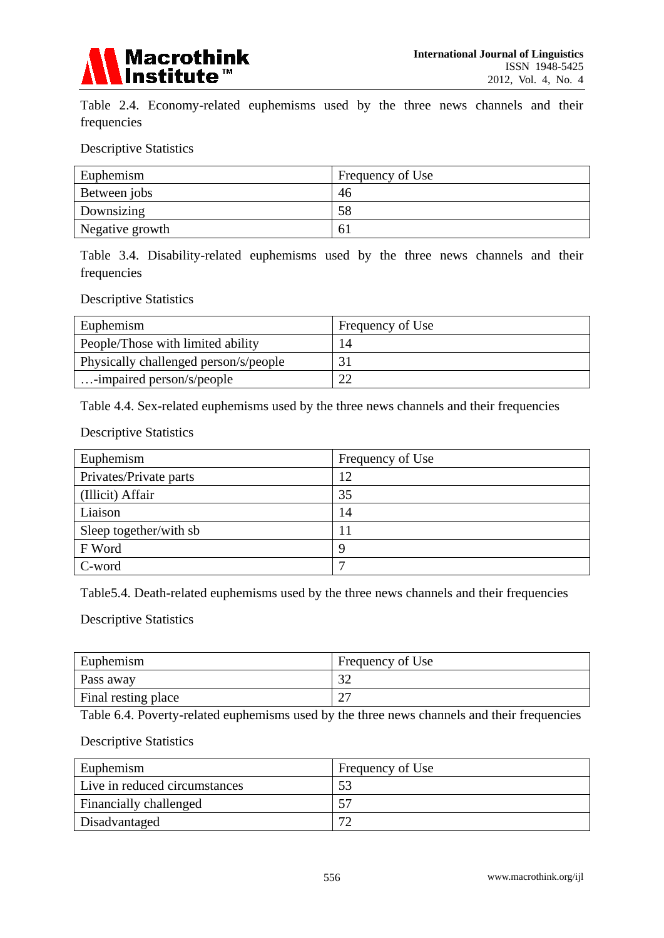

Table 2.4. Economy-related euphemisms used by the three news channels and their frequencies

Descriptive Statistics

| Euphemism       | Frequency of Use |
|-----------------|------------------|
| Between jobs    | 46               |
| Downsizing      | 58               |
| Negative growth | 0 <sub>1</sub>   |

Table 3.4. Disability-related euphemisms used by the three news channels and their frequencies

Descriptive Statistics

| Euphemism                             | Frequency of Use |
|---------------------------------------|------------------|
| People/Those with limited ability     | 14               |
| Physically challenged person/s/people |                  |
| $\ldots$ -impaired person/s/people    |                  |

Table 4.4. Sex-related euphemisms used by the three news channels and their frequencies

Descriptive Statistics

| Euphemism              | Frequency of Use |
|------------------------|------------------|
| Privates/Private parts | 12               |
| (Illicit) Affair       | 35               |
| Liaison                | 14               |
| Sleep together/with sb |                  |
| F Word                 | 9                |
| C-word                 | −                |

Table5.4. Death-related euphemisms used by the three news channels and their frequencies

Descriptive Statistics

| Euphemism           | Frequency of Use |
|---------------------|------------------|
| Pass away           | $\Omega$<br>ΟŹ   |
| Final resting place | $\cap$<br>،  ے   |

Table 6.4. Poverty-related euphemisms used by the three news channels and their frequencies

#### Descriptive Statistics

| Euphemism                     | Frequency of Use |
|-------------------------------|------------------|
| Live in reduced circumstances |                  |
| Financially challenged        |                  |
| Disadvantaged                 |                  |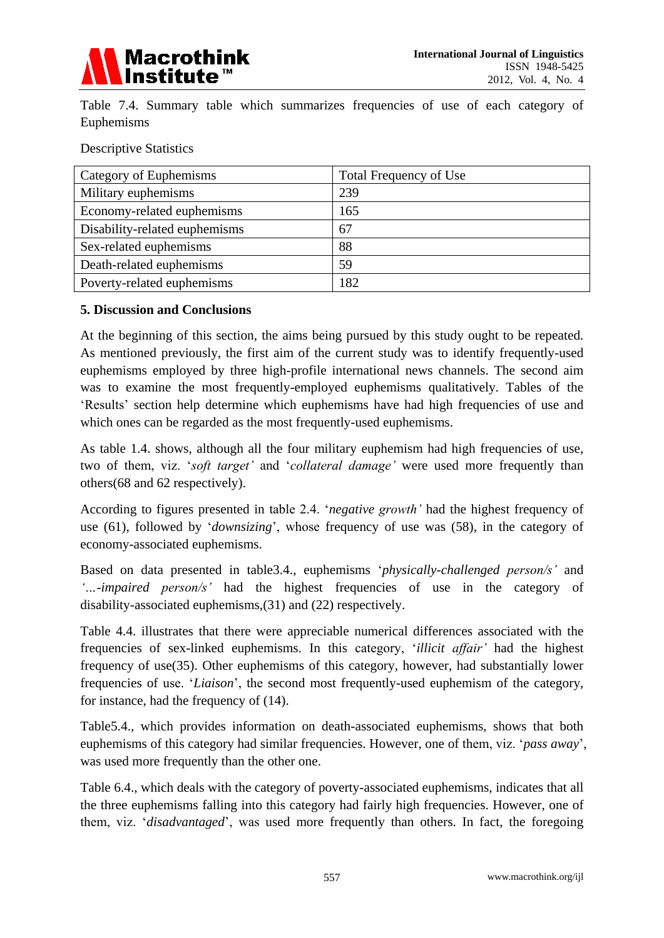

Table 7.4. Summary table which summarizes frequencies of use of each category of Euphemisms

Descriptive Statistics

| Category of Euphemisms        | Total Frequency of Use |
|-------------------------------|------------------------|
| Military euphemisms           | 239                    |
| Economy-related euphemisms    | 165                    |
| Disability-related euphemisms | 67                     |
| Sex-related euphemisms        | 88                     |
| Death-related euphemisms      | 59                     |
| Poverty-related euphemisms    | 182                    |

## **5. Discussion and Conclusions**

At the beginning of this section, the aims being pursued by this study ought to be repeated. As mentioned previously, the first aim of the current study was to identify frequently-used euphemisms employed by three high-profile international news channels. The second aim was to examine the most frequently-employed euphemisms qualitatively. Tables of the "Results" section help determine which euphemisms have had high frequencies of use and which ones can be regarded as the most frequently-used euphemisms.

As table 1.4. shows, although all the four military euphemism had high frequencies of use, two of them, viz. "*soft target'* and "*collateral damage'* were used more frequently than others(68 and 62 respectively).

According to figures presented in table 2.4. "*negative growth'* had the highest frequency of use (61), followed by "*downsizing*", whose frequency of use was (58), in the category of economy-associated euphemisms.

Based on data presented in table3.4., euphemisms "*physically-challenged person/s'* and *'…-impaired person/s'* had the highest frequencies of use in the category of disability-associated euphemisms,(31) and (22) respectively.

Table 4.4. illustrates that there were appreciable numerical differences associated with the frequencies of sex-linked euphemisms. In this category, "*illicit affair'* had the highest frequency of use(35). Other euphemisms of this category, however, had substantially lower frequencies of use. "*Liaison*", the second most frequently-used euphemism of the category, for instance, had the frequency of (14).

Table5.4., which provides information on death-associated euphemisms, shows that both euphemisms of this category had similar frequencies. However, one of them, viz. "*pass away*", was used more frequently than the other one.

Table 6.4., which deals with the category of poverty-associated euphemisms, indicates that all the three euphemisms falling into this category had fairly high frequencies. However, one of them, viz. "*disadvantaged*", was used more frequently than others. In fact, the foregoing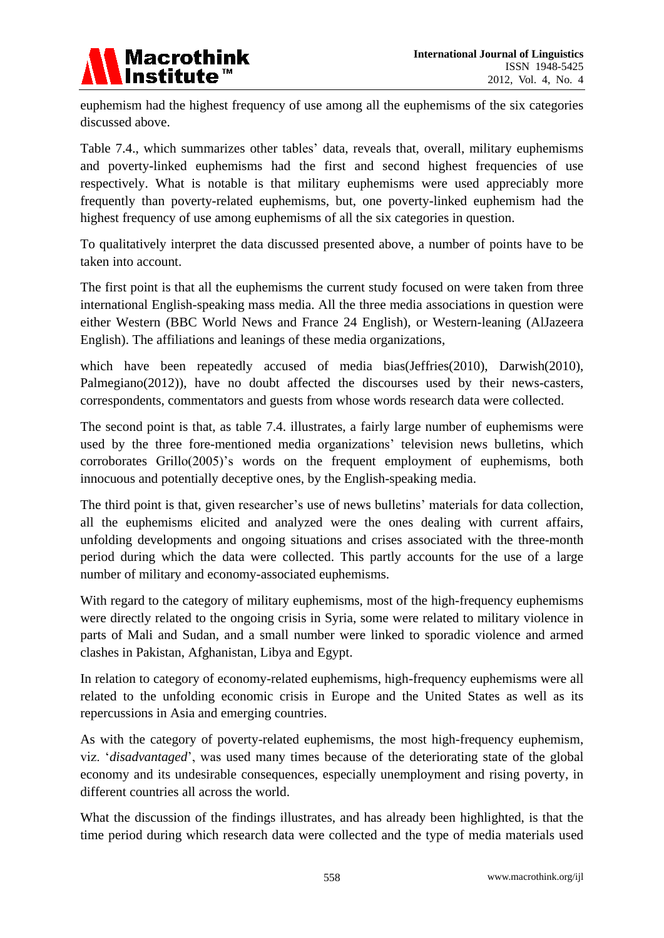

euphemism had the highest frequency of use among all the euphemisms of the six categories discussed above.

Table 7.4., which summarizes other tables' data, reveals that, overall, military euphemisms and poverty-linked euphemisms had the first and second highest frequencies of use respectively. What is notable is that military euphemisms were used appreciably more frequently than poverty-related euphemisms, but, one poverty-linked euphemism had the highest frequency of use among euphemisms of all the six categories in question.

To qualitatively interpret the data discussed presented above, a number of points have to be taken into account.

The first point is that all the euphemisms the current study focused on were taken from three international English-speaking mass media. All the three media associations in question were either Western (BBC World News and France 24 English), or Western-leaning (AlJazeera English). The affiliations and leanings of these media organizations,

which have been repeatedly accused of media bias(Jeffries(2010), Darwish(2010), Palmegiano(2012)), have no doubt affected the discourses used by their news-casters, correspondents, commentators and guests from whose words research data were collected.

The second point is that, as table 7.4. illustrates, a fairly large number of euphemisms were used by the three fore-mentioned media organizations' television news bulletins, which corroborates Grillo(2005)'s words on the frequent employment of euphemisms, both innocuous and potentially deceptive ones, by the English-speaking media.

The third point is that, given researcher's use of news bulletins' materials for data collection, all the euphemisms elicited and analyzed were the ones dealing with current affairs, unfolding developments and ongoing situations and crises associated with the three-month period during which the data were collected. This partly accounts for the use of a large number of military and economy-associated euphemisms.

With regard to the category of military euphemisms, most of the high-frequency euphemisms were directly related to the ongoing crisis in Syria, some were related to military violence in parts of Mali and Sudan, and a small number were linked to sporadic violence and armed clashes in Pakistan, Afghanistan, Libya and Egypt.

In relation to category of economy-related euphemisms, high-frequency euphemisms were all related to the unfolding economic crisis in Europe and the United States as well as its repercussions in Asia and emerging countries.

As with the category of poverty-related euphemisms, the most high-frequency euphemism, viz. "*disadvantaged*", was used many times because of the deteriorating state of the global economy and its undesirable consequences, especially unemployment and rising poverty, in different countries all across the world.

What the discussion of the findings illustrates, and has already been highlighted, is that the time period during which research data were collected and the type of media materials used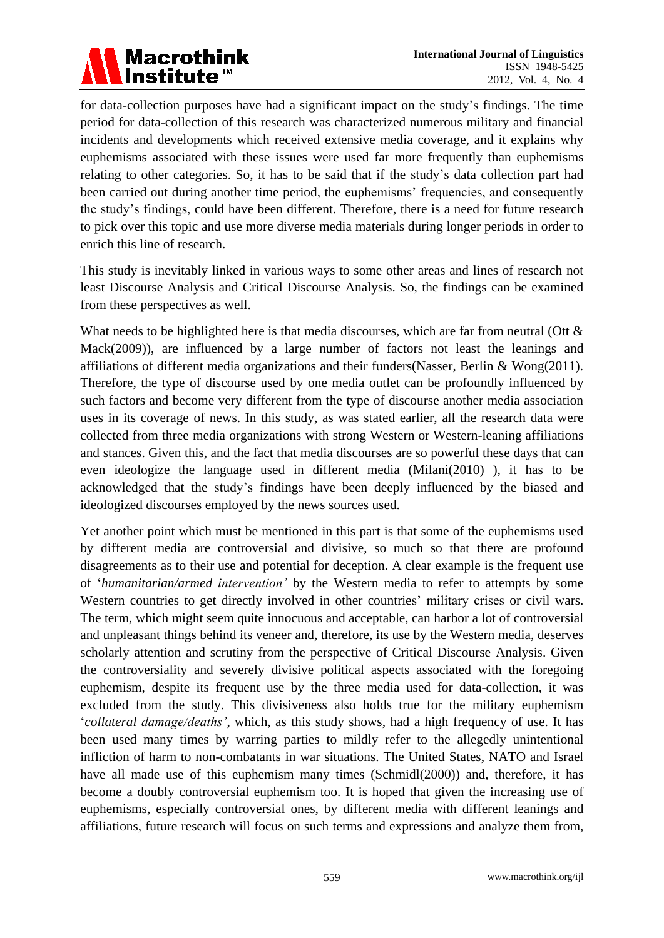

for data-collection purposes have had a significant impact on the study"s findings. The time period for data-collection of this research was characterized numerous military and financial incidents and developments which received extensive media coverage, and it explains why euphemisms associated with these issues were used far more frequently than euphemisms relating to other categories. So, it has to be said that if the study"s data collection part had been carried out during another time period, the euphemisms' frequencies, and consequently the study"s findings, could have been different. Therefore, there is a need for future research to pick over this topic and use more diverse media materials during longer periods in order to enrich this line of research.

This study is inevitably linked in various ways to some other areas and lines of research not least Discourse Analysis and Critical Discourse Analysis. So, the findings can be examined from these perspectives as well.

What needs to be highlighted here is that media discourses, which are far from neutral (Ott & Mack(2009)), are influenced by a large number of factors not least the leanings and affiliations of different media organizations and their funders(Nasser, Berlin & Wong(2011). Therefore, the type of discourse used by one media outlet can be profoundly influenced by such factors and become very different from the type of discourse another media association uses in its coverage of news. In this study, as was stated earlier, all the research data were collected from three media organizations with strong Western or Western-leaning affiliations and stances. Given this, and the fact that media discourses are so powerful these days that can even ideologize the language used in different media (Milani(2010) ), it has to be acknowledged that the study"s findings have been deeply influenced by the biased and ideologized discourses employed by the news sources used.

Yet another point which must be mentioned in this part is that some of the euphemisms used by different media are controversial and divisive, so much so that there are profound disagreements as to their use and potential for deception. A clear example is the frequent use of "*humanitarian/armed intervention'* by the Western media to refer to attempts by some Western countries to get directly involved in other countries' military crises or civil wars. The term, which might seem quite innocuous and acceptable, can harbor a lot of controversial and unpleasant things behind its veneer and, therefore, its use by the Western media, deserves scholarly attention and scrutiny from the perspective of Critical Discourse Analysis. Given the controversiality and severely divisive political aspects associated with the foregoing euphemism, despite its frequent use by the three media used for data-collection, it was excluded from the study. This divisiveness also holds true for the military euphemism "*collateral damage/deaths'*, which, as this study shows, had a high frequency of use. It has been used many times by warring parties to mildly refer to the allegedly unintentional infliction of harm to non-combatants in war situations. The United States, NATO and Israel have all made use of this euphemism many times [\(Schmidl\(](http://www.google.com/search?hl=en&tbo=1&tbm=bks&tbm=bks&q=inauthor:%22Erwin+A.+Schmidl%22&sa=X&ei=STqIUJz7Oeas0QWu-oCwBA&ved=0CBoQ9Ag)2000)) and, therefore, it has become a doubly controversial euphemism too. It is hoped that given the increasing use of euphemisms, especially controversial ones, by different media with different leanings and affiliations, future research will focus on such terms and expressions and analyze them from,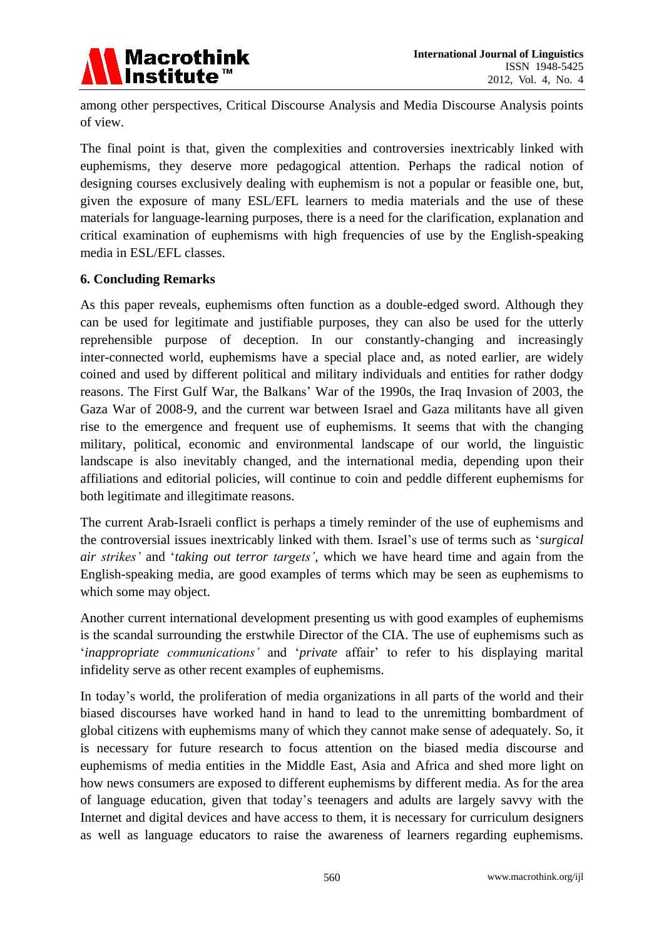

among other perspectives, Critical Discourse Analysis and Media Discourse Analysis points of view.

The final point is that, given the complexities and controversies inextricably linked with euphemisms, they deserve more pedagogical attention. Perhaps the radical notion of designing courses exclusively dealing with euphemism is not a popular or feasible one, but, given the exposure of many ESL/EFL learners to media materials and the use of these materials for language-learning purposes, there is a need for the clarification, explanation and critical examination of euphemisms with high frequencies of use by the English-speaking media in ESL/EFL classes.

## **6. Concluding Remarks**

As this paper reveals, euphemisms often function as a double-edged sword. Although they can be used for legitimate and justifiable purposes, they can also be used for the utterly reprehensible purpose of deception. In our constantly-changing and increasingly inter-connected world, euphemisms have a special place and, as noted earlier, are widely coined and used by different political and military individuals and entities for rather dodgy reasons. The First Gulf War, the Balkans" War of the 1990s, the Iraq Invasion of 2003, the Gaza War of 2008-9, and the current war between Israel and Gaza militants have all given rise to the emergence and frequent use of euphemisms. It seems that with the changing military, political, economic and environmental landscape of our world, the linguistic landscape is also inevitably changed, and the international media, depending upon their affiliations and editorial policies, will continue to coin and peddle different euphemisms for both legitimate and illegitimate reasons.

The current Arab-Israeli conflict is perhaps a timely reminder of the use of euphemisms and the controversial issues inextricably linked with them. Israel"s use of terms such as "*surgical air strikes'* and "*taking out terror targets'*, which we have heard time and again from the English-speaking media, are good examples of terms which may be seen as euphemisms to which some may object.

Another current international development presenting us with good examples of euphemisms is the scandal surrounding the erstwhile Director of the CIA. The use of euphemisms such as "*inappropriate communications'* and "*private* affair" to refer to his displaying marital infidelity serve as other recent examples of euphemisms.

In today"s world, the proliferation of media organizations in all parts of the world and their biased discourses have worked hand in hand to lead to the unremitting bombardment of global citizens with euphemisms many of which they cannot make sense of adequately. So, it is necessary for future research to focus attention on the biased media discourse and euphemisms of media entities in the Middle East, Asia and Africa and shed more light on how news consumers are exposed to different euphemisms by different media. As for the area of language education, given that today"s teenagers and adults are largely savvy with the Internet and digital devices and have access to them, it is necessary for curriculum designers as well as language educators to raise the awareness of learners regarding euphemisms.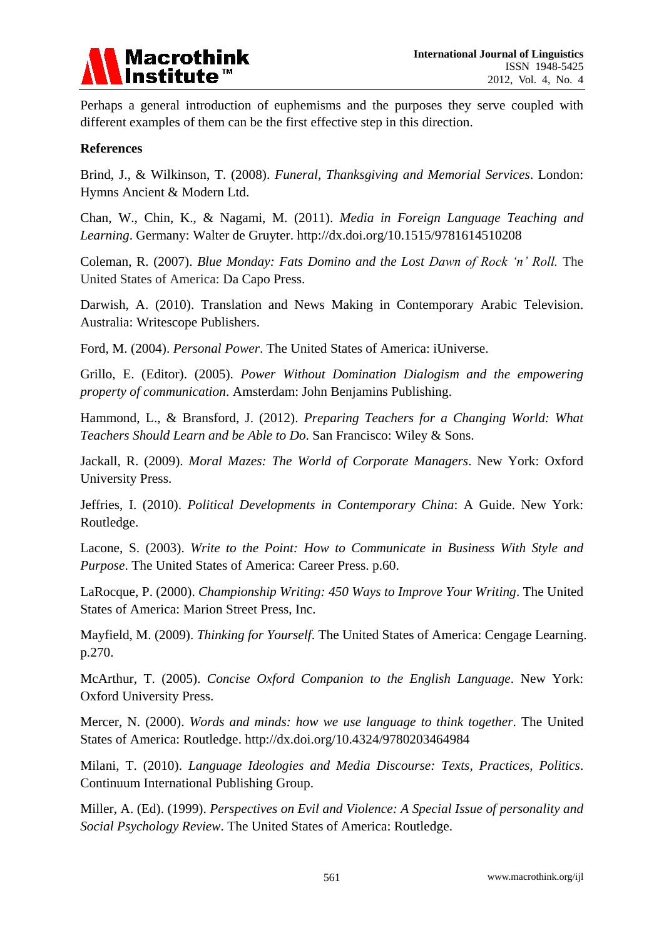

Perhaps a general introduction of euphemisms and the purposes they serve coupled with different examples of them can be the first effective step in this direction.

### **References**

Brind, J., & Wilkinson, T. (2008). *Funeral, Thanksgiving and Memorial Services*. London: Hymns Ancient & Modern Ltd.

Chan, W., Chin, K., & Nagami, M. (2011). *Media in Foreign Language Teaching and Learning*. Germany: Walter de Gruyter. http://dx.doi.org/10.1515/9781614510208

Coleman, R. (2007). *Blue Monday: Fats Domino and the Lost Dawn of Rock 'n' Roll.* The United States of America: Da Capo Press.

Darwish, A. (2010). [Translation and News Making in Contemporary Arabic Television.](http://books.google.com/books?id=qw6116rwLZ0C&pg=PA173&lpg=PA173&dq=AlJAZEERA+++accused++of++journalistic+bias&source=bl&ots=JxfSV8uI9n&sig=q3wxuM6HuB1Cnjv-ZVdCKsG10eY&hl=en) Australia: Writescope Publishers.

Ford, M. (2004). *Personal Power*. The United States of America: iUniverse.

Grillo, E. (Editor). (2005). *Power Without Domination Dialogism and the empowering property of communication*. Amsterdam: John Benjamins Publishing.

Hammond, L., & Bransford, J. (2012). *Preparing Teachers for a Changing World: What Teachers Should Learn and be Able to Do*. San Francisco: Wiley & Sons.

Jackall, R. (2009). *Moral Mazes: The World of Corporate Managers*. New York: Oxford University Press.

Jeffries, I. (2010). *Political Developments in Contemporary China*: A Guide. New York: Routledge.

Lacone, S. (2003). *Write to the Point: How to Communicate in Business With Style and Purpose*. The United States of America: Career Press. p.60.

LaRocque, P. (2000). *Championship Writing: 450 Ways to Improve Your Writing*. The United States of America: Marion Street Press, Inc.

Mayfield, M. (2009). *Thinking for Yourself*. The United States of America: Cengage Learning. p.270.

McArthur, T. (2005). *Concise Oxford Companion to the English Language*. New York: Oxford University Press.

Mercer, N. (2000). *Words and minds: how we use language to think together*. The United States of America: Routledge. http://dx.doi.org/10.4324/9780203464984

Milani, T. (2010). *[Language Ideologies and Media Discourse: Texts, Practices, Politics](http://books.google.com/books?id=RsQcG0dFFc8C&pg=PA183&lpg=PA183&dq=)*. Continuum International Publishing Group.

Miller, A. (Ed). (1999). *Perspectives on Evil and Violence: A Special Issue of personality and Social Psychology Review*. The United States of America: Routledge.